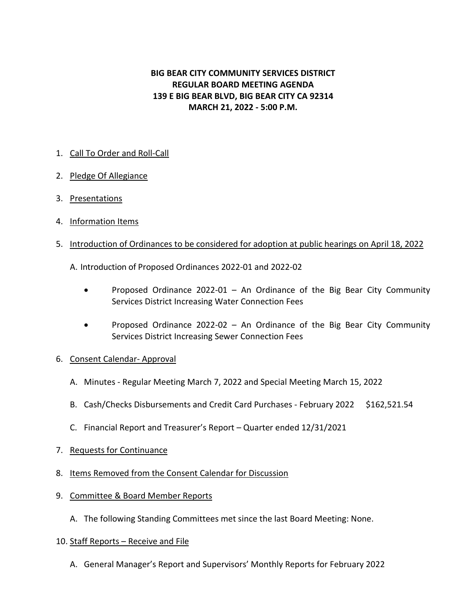# **BIG BEAR CITY COMMUNITY SERVICES DISTRICT REGULAR BOARD MEETING AGENDA 139 E BIG BEAR BLVD, BIG BEAR CITY CA 92314 MARCH 21, 2022 - 5:00 P.M.**

# 1. Call To Order and Roll-Call

- 2. Pledge Of Allegiance
- 3. Presentations
- 4. Information Items
- 5. Introduction of Ordinances to be considered for adoption at public hearings on April 18, 2022

A. Introduction of Proposed Ordinances 2022-01 and 2022-02

- Proposed Ordinance 2022-01 An Ordinance of the Big Bear City Community Services District Increasing Water Connection Fees
- Proposed Ordinance 2022-02 An Ordinance of the Big Bear City Community Services District Increasing Sewer Connection Fees
- 6. Consent Calendar- Approval
	- A. Minutes Regular Meeting March 7, 2022 and Special Meeting March 15, 2022
	- B. Cash/Checks Disbursements and Credit Card Purchases February 2022 \$162,521.54
	- C. Financial Report and Treasurer's Report Quarter ended 12/31/2021
- 7. Requests for Continuance
- 8. Items Removed from the Consent Calendar for Discussion
- 9. Committee & Board Member Reports
	- A. The following Standing Committees met since the last Board Meeting: None.
- 10. Staff Reports Receive and File
	- A. General Manager's Report and Supervisors' Monthly Reports for February 2022